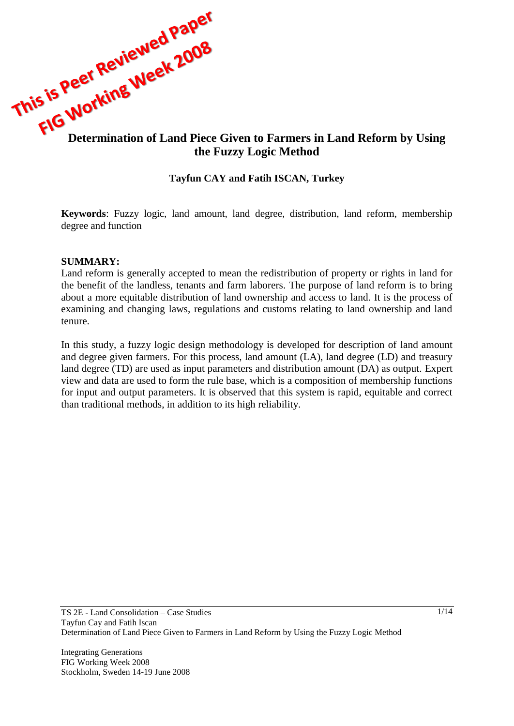

### **Tayfun CAY and Fatih ISCAN, Turkey**

**Keywords**: Fuzzy logic, land amount, land degree, distribution, land reform, membership degree and function

### **SUMMARY:**

Land reform is generally accepted to mean the redistribution of property or rights in land for the benefit of the landless, tenants and farm laborers. The purpose of land reform is to bring about a more equitable distribution of land ownership and access to land. It is the process of examining and changing laws, regulations and customs relating to land ownership and land tenure.

In this study, a fuzzy logic design methodology is developed for description of land amount and degree given farmers. For this process, land amount (LA), land degree (LD) and treasury land degree (TD) are used as input parameters and distribution amount (DA) as output. Expert view and data are used to form the rule base, which is a composition of membership functions for input and output parameters. It is observed that this system is rapid, equitable and correct than traditional methods, in addition to its high reliability.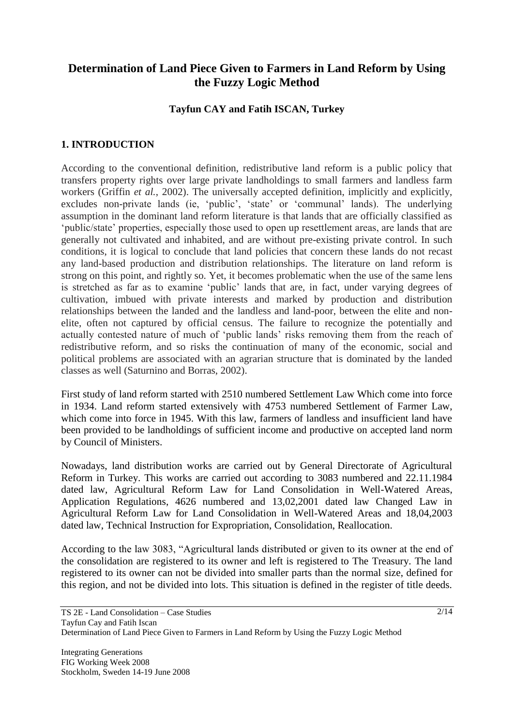# **Determination of Land Piece Given to Farmers in Land Reform by Using the Fuzzy Logic Method**

### **Tayfun CAY and Fatih ISCAN, Turkey**

## **1. INTRODUCTION**

According to the conventional definition, redistributive land reform is a public policy that transfers property rights over large private landholdings to small farmers and landless farm workers (Griffin *et al.*, 2002). The universally accepted definition, implicitly and explicitly, excludes non-private lands (ie, 'public', 'state' or 'communal' lands). The underlying assumption in the dominant land reform literature is that lands that are officially classified as "public/state" properties, especially those used to open up resettlement areas, are lands that are generally not cultivated and inhabited, and are without pre-existing private control. In such conditions, it is logical to conclude that land policies that concern these lands do not recast any land-based production and distribution relationships. The literature on land reform is strong on this point, and rightly so. Yet, it becomes problematic when the use of the same lens is stretched as far as to examine "public" lands that are, in fact, under varying degrees of cultivation, imbued with private interests and marked by production and distribution relationships between the landed and the landless and land-poor, between the elite and nonelite, often not captured by official census. The failure to recognize the potentially and actually contested nature of much of "public lands" risks removing them from the reach of redistributive reform, and so risks the continuation of many of the economic, social and political problems are associated with an agrarian structure that is dominated by the landed classes as well (Saturnino and Borras, 2002).

First study of land reform started with 2510 numbered Settlement Law Which come into force in 1934. Land reform started extensively with 4753 numbered Settlement of Farmer Law, which come into force in 1945. With this law, farmers of landless and insufficient land have been provided to be landholdings of sufficient income and productive on accepted land norm by Council of Ministers.

Nowadays, land distribution works are carried out by General Directorate of Agricultural Reform in Turkey. This works are carried out according to 3083 numbered and 22.11.1984 dated law, Agricultural Reform Law for Land Consolidation in Well-Watered Areas, Application Regulations, 4626 numbered and 13,02,2001 dated law Changed Law in Agricultural Reform Law for Land Consolidation in Well-Watered Areas and 18,04,2003 dated law, Technical Instruction for Expropriation, Consolidation, Reallocation.

According to the law 3083, "Agricultural lands distributed or given to its owner at the end of the consolidation are registered to its owner and left is registered to The Treasury. The land registered to its owner can not be divided into smaller parts than the normal size, defined for this region, and not be divided into lots. This situation is defined in the register of title deeds.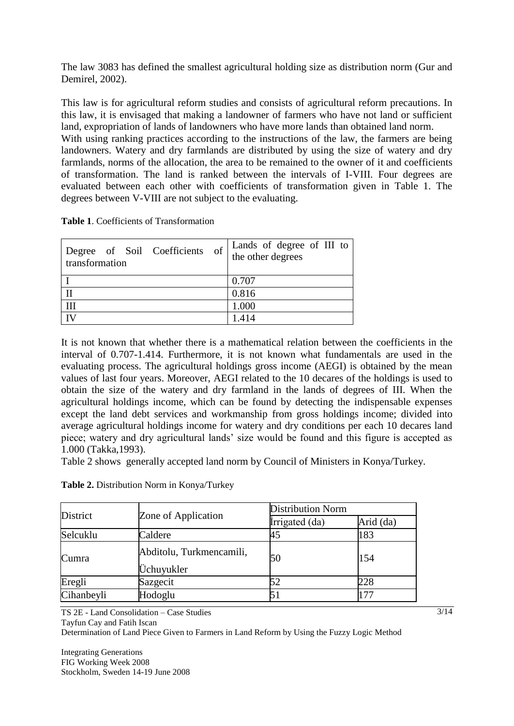The law 3083 has defined the smallest agricultural holding size as distribution norm (Gur and Demirel, 2002).

This law is for agricultural reform studies and consists of agricultural reform precautions. In this law, it is envisaged that making a landowner of farmers who have not land or sufficient land, expropriation of lands of landowners who have more lands than obtained land norm. With using ranking practices according to the instructions of the law, the farmers are being landowners. Watery and dry farmlands are distributed by using the size of watery and dry farmlands, norms of the allocation, the area to be remained to the owner of it and coefficients of transformation. The land is ranked between the intervals of I-VIII. Four degrees are evaluated between each other with coefficients of transformation given in Table 1. The degrees between V-VIII are not subject to the evaluating.

**Table 1**. Coefficients of Transformation

| Degree of Soil Coefficients of<br>transformation | Lands of degree of III to $\vert$<br>the other degrees |
|--------------------------------------------------|--------------------------------------------------------|
|                                                  | 0.707                                                  |
|                                                  | 0.816                                                  |
| Ш                                                | 1.000                                                  |
|                                                  | 1414                                                   |

It is not known that whether there is a mathematical relation between the coefficients in the interval of 0.707-1.414. Furthermore, it is not known what fundamentals are used in the evaluating process. The agricultural holdings gross income (AEGI) is obtained by the mean values of last four years. Moreover, AEGI related to the 10 decares of the holdings is used to obtain the size of the watery and dry farmland in the lands of degrees of III. When the agricultural holdings income, which can be found by detecting the indispensable expenses except the land debt services and workmanship from gross holdings income; divided into average agricultural holdings income for watery and dry conditions per each 10 decares land piece; watery and dry agricultural lands" size would be found and this figure is accepted as 1.000 (Takka,1993).

Table 2 shows generally accepted land norm by Council of Ministers in Konya/Turkey.

| District   | Zone of Application                    | <b>Distribution Norm</b> |           |
|------------|----------------------------------------|--------------------------|-----------|
|            |                                        | Irrigated (da)           | Arid (da) |
| Selcuklu   | Caldere                                | 45                       | 183       |
| Cumra      | Abditolu, Turkmencamili,<br>Üchuyukler | 50                       | 154       |
| Eregli     | Sazgecit                               | 52                       | 228       |
| Cihanbeyli | Hodoglu                                |                          | 177       |

**Table 2.** Distribution Norm in Konya/Turkey

TS 2E - Land Consolidation – Case Studies

Tayfun Cay and Fatih Iscan

Determination of Land Piece Given to Farmers in Land Reform by Using the Fuzzy Logic Method

Integrating Generations FIG Working Week 2008 Stockholm, Sweden 14-19 June 2008  $\frac{3}{14}$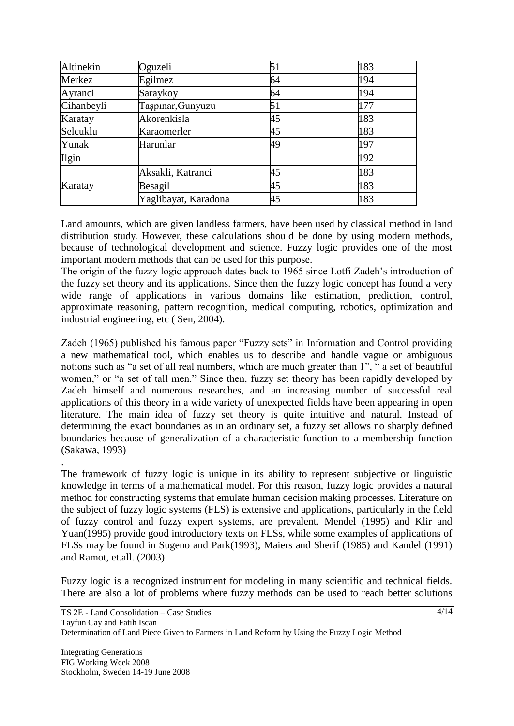| Altinekin    | Oguzeli              | 51 | 183 |
|--------------|----------------------|----|-----|
| Merkez       | Egilmez              | 64 | 194 |
| Ayranci      | Saraykoy             | 64 | 194 |
| Cihanbeyli   | Taşpınar, Gunyuzu    | 51 | 177 |
| Karatay      | Akorenkisla          | 45 | 183 |
| Selcuklu     | Karaomerler          | 45 | 183 |
| Yunak        | Harunlar             | 49 | 197 |
| <b>Ilgin</b> |                      |    | 192 |
|              | Aksakli, Katranci    | 45 | 183 |
| Karatay      | Besagil              | 45 | 183 |
|              | Yaglibayat, Karadona | 45 | 183 |

Land amounts, which are given landless farmers, have been used by classical method in land distribution study. However, these calculations should be done by using modern methods, because of technological development and science. Fuzzy logic provides one of the most important modern methods that can be used for this purpose.

The origin of the fuzzy logic approach dates back to 1965 since Lotfi Zadeh"s introduction of the fuzzy set theory and its applications. Since then the fuzzy logic concept has found a very wide range of applications in various domains like estimation, prediction, control, approximate reasoning, pattern recognition, medical computing, robotics, optimization and industrial engineering, etc ( Sen, 2004).

Zadeh (1965) published his famous paper "Fuzzy sets" in Information and Control providing a new mathematical tool, which enables us to describe and handle vague or ambiguous notions such as "a set of all real numbers, which are much greater than 1", " a set of beautiful women," or "a set of tall men." Since then, fuzzy set theory has been rapidly developed by Zadeh himself and numerous researches, and an increasing number of successful real applications of this theory in a wide variety of unexpected fields have been appearing in open literature. The main idea of fuzzy set theory is quite intuitive and natural. Instead of determining the exact boundaries as in an ordinary set, a fuzzy set allows no sharply defined boundaries because of generalization of a characteristic function to a membership function (Sakawa, 1993)

The framework of fuzzy logic is unique in its ability to represent subjective or linguistic knowledge in terms of a mathematical model. For this reason, fuzzy logic provides a natural method for constructing systems that emulate human decision making processes. Literature on the subject of fuzzy logic systems (FLS) is extensive and applications, particularly in the field of fuzzy control and fuzzy expert systems, are prevalent. Mendel (1995) and Klir and Yuan(1995) provide good introductory texts on FLSs, while some examples of applications of FLSs may be found in Sugeno and Park(1993), Maiers and Sherif (1985) and Kandel (1991) and Ramot, et.all. (2003).

Fuzzy logic is a recognized instrument for modeling in many scientific and technical fields. There are also a lot of problems where fuzzy methods can be used to reach better solutions

.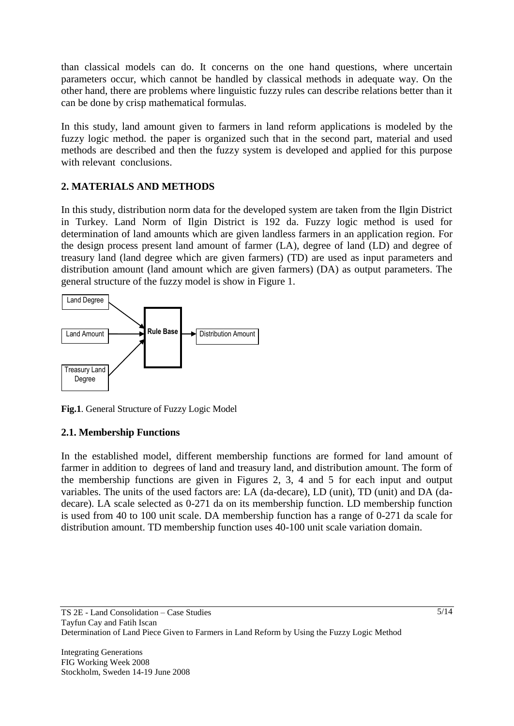than classical models can do. It concerns on the one hand questions, where uncertain parameters occur, which cannot be handled by classical methods in adequate way. On the other hand, there are problems where linguistic fuzzy rules can describe relations better than it can be done by crisp mathematical formulas.

In this study, land amount given to farmers in land reform applications is modeled by the fuzzy logic method. the paper is organized such that in the second part, material and used methods are described and then the fuzzy system is developed and applied for this purpose with relevant conclusions.

## **2. MATERIALS AND METHODS**

In this study, distribution norm data for the developed system are taken from the Ilgin District in Turkey. Land Norm of Ilgin District is 192 da. Fuzzy logic method is used for determination of land amounts which are given landless farmers in an application region. For the design process present land amount of farmer (LA), degree of land (LD) and degree of treasury land (land degree which are given farmers) (TD) are used as input parameters and distribution amount (land amount which are given farmers) (DA) as output parameters. The general structure of the fuzzy model is show in Figure 1.



**Fig.1**. General Structure of Fuzzy Logic Model

## **2.1. Membership Functions**

In the established model, different membership functions are formed for land amount of farmer in addition to degrees of land and treasury land, and distribution amount. The form of the membership functions are given in Figures 2, 3, 4 and 5 for each input and output variables. The units of the used factors are: LA (da-decare), LD (unit), TD (unit) and DA (dadecare). LA scale selected as 0-271 da on its membership function. LD membership function is used from 40 to 100 unit scale. DA membership function has a range of 0-271 da scale for distribution amount. TD membership function uses 40-100 unit scale variation domain.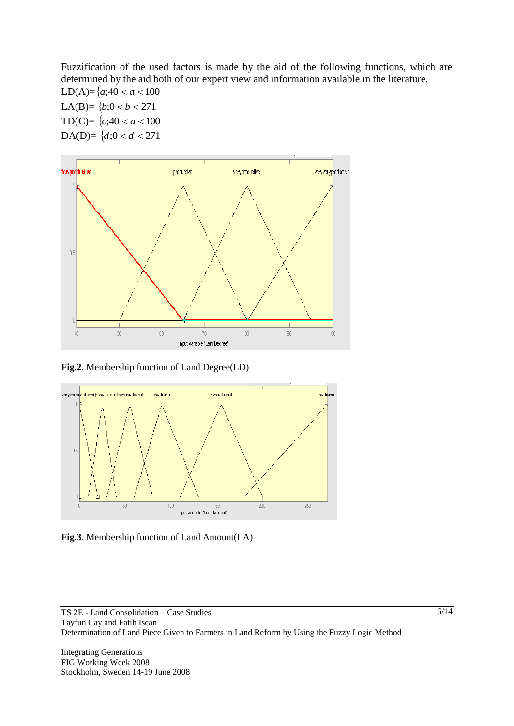Fuzzification of the used factors is made by the aid of the following functions, which are determined by the aid both of our expert view and information available in the literature.

LD(A)= $\{a; 40 < a < 100$ LA(B)=  $\{b; 0 < b < 271$ TD(C)=  $\{c; 40 < a < 100$ DA(D)=  $\{d; 0 < d < 271\}$ 



**Fig.2**. Membership function of Land Degree(LD)



**Fig.3**. Membership function of Land Amount(LA)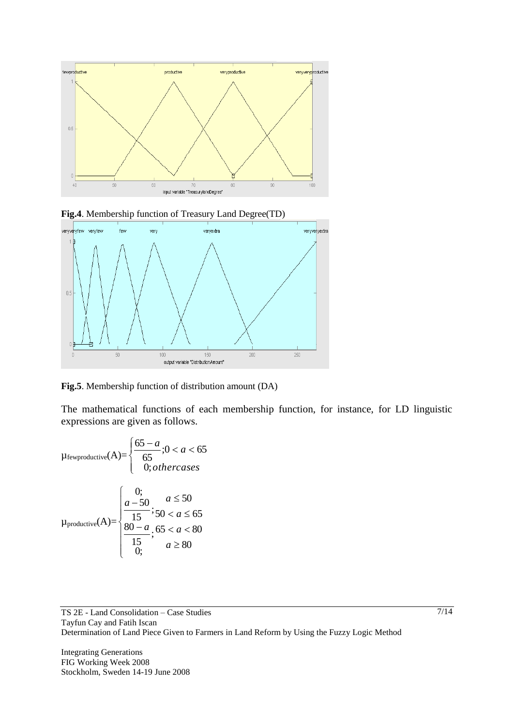





**Fig.5**. Membership function of distribution amount (DA)

The mathematical functions of each membership function, for instance, for LD linguistic expressions are given as follows.

$$
\mu_{\text{fewproductive}}(A) = \begin{cases} \frac{65 - a}{65}; 0 < a < 65\\ 0; \text{otherwise} \end{cases}
$$
\n
$$
\mu_{\text{productive}}(A) = \begin{cases} 0; & a \le 50\\ \frac{a - 50}{15}; 50 < a \le 65\\ \frac{80 - a}{15}; 65 < a < 80\\ 0; & a \ge 80 \end{cases}
$$

TS 2E - Land Consolidation – Case Studies Tayfun Cay and Fatih Iscan Determination of Land Piece Given to Farmers in Land Reform by Using the Fuzzy Logic Method

Integrating Generations FIG Working Week 2008 Stockholm, Sweden 14-19 June 2008 7/14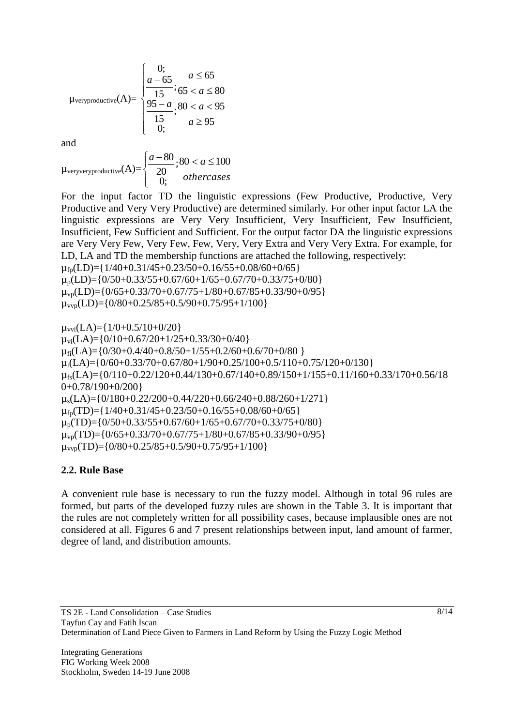$$
\mu_{\text{veryproductive}}(A) = \begin{cases} 0; & a \le 65 \\ \frac{a - 65}{15}; & 65 < a \le 80 \\ \frac{95 - a}{15}; & a \ge 95 \\ 0; & a \ge 95 \end{cases}
$$

and

 $\mu$ veryveryproductive $(A)$ =  $\overline{\mathcal{L}}$  $\vert$  $\left\{ \right.$  $\left[\frac{a-80}{\cdots}\right] \cdot 80 < a \leq$ *othercases*  $\frac{a-80}{3}$   $\cdot$  80 <  $a \le 100$ 0; ; 20 80

For the input factor TD the linguistic expressions (Few Productive, Productive, Very Productive and Very Very Productive) are determined similarly. For other input factor LA the linguistic expressions are Very Very Insufficient, Very Insufficient, Few Insufficient, Insufficient, Few Sufficient and Sufficient. For the output factor DA the linguistic expressions are Very Very Few, Very Few, Few, Very, Very Extra and Very Very Extra. For example, for LD, LA and TD the membership functions are attached the following, respectively:  $\mu_{fp}(LD)$ ={1/40+0.31/45+0.23/50+0.16/55+0.08/60+0/65}

 $\mu_p(LD)=\{0/50+0.33/55+0.67/60+1/65+0.67/70+0.33/75+0/80\}$  $\mu_{\nu p}$ (LD)={0/65+0.33/70+0.67/75+1/80+0.67/85+0.33/90+0/95}  $\mu_{\text{vvo}}(LD)$ ={0/80+0.25/85+0.5/90+0.75/95+1/100}

 $\mu_{\text{vvi}}(LA) = \{1/0+0.5/10+0/20\}$  $\mu_{\text{vi}}(LA) = \{0/10+0.67/20+1/25+0.33/30+0/40\}$  $\mu_{fi}(LA)$ ={0/30+0.4/40+0.8/50+1/55+0.2/60+0.6/70+0/80 }  $\mu$ <sub>i</sub>(LA)={0/60+0.33/70+0.67/80+1/90+0.25/100+0.5/110+0.75/120+0/130}  $\mu_{fs}(LA)$ ={0/110+0.22/120+0.44/130+0.67/140+0.89/150+1/155+0.11/160+0.33/170+0.56/18  $0+0.78/190+0/200$  $\mu_s(LA) = \{0/180+0.22/200+0.44/220+0.66/240+0.88/260+1/271\}$  $\mu_{\text{fp}}(TD)$ ={1/40+0.31/45+0.23/50+0.16/55+0.08/60+0/65}  $\mu_p(TD)=\{0/50+0.33/55+0.67/60+1/65+0.67/70+0.33/75+0/80\}$  $\mu_{\nu p}(TD)$ ={0/65+0.33/70+0.67/75+1/80+0.67/85+0.33/90+0/95}  $\mu_{\text{vvo}}(TD)$ ={0/80+0.25/85+0.5/90+0.75/95+1/100}

### **2.2. Rule Base**

A convenient rule base is necessary to run the fuzzy model. Although in total 96 rules are formed, but parts of the developed fuzzy rules are shown in the Table 3. It is important that the rules are not completely written for all possibility cases, because implausible ones are not considered at all. Figures 6 and 7 present relationships between input, land amount of farmer, degree of land, and distribution amounts.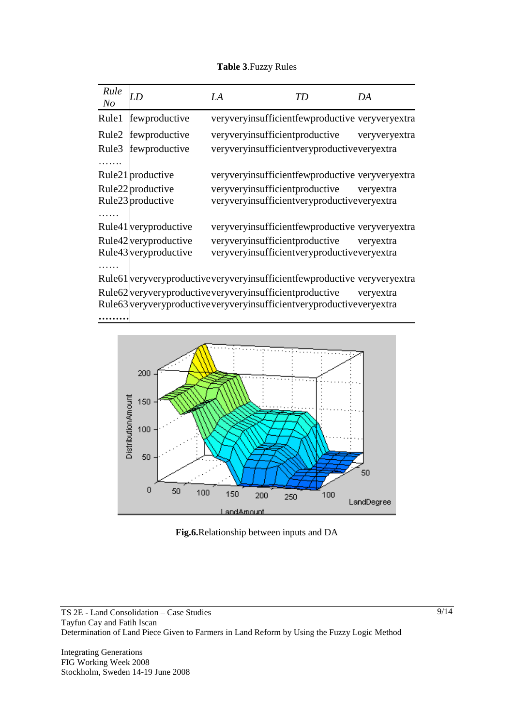### **Table 3**.Fuzzy Rules

| Rule<br>N <sub>O</sub> | D                                                                            | LA | TD                                                 | DA        |
|------------------------|------------------------------------------------------------------------------|----|----------------------------------------------------|-----------|
| Rule1                  | fewproductive                                                                |    | veryveryinsufficient few productive veryvery extra |           |
| Rule2                  | fewproductive                                                                |    | veryveryinsufficientproductive veryveryextra       |           |
| Rule3                  | fewproductive                                                                |    | veryveryinsufficientveryproductiveveryextra        |           |
| .                      |                                                                              |    |                                                    |           |
|                        | Rule21 productive                                                            |    | veryveryinsufficientfewproductive veryveryextra    |           |
|                        | Rule22 productive                                                            |    | veryveryinsufficientproductive veryextra           |           |
|                        | Rule23 productive                                                            |    | veryveryinsufficientveryproductiveveryextra        |           |
|                        |                                                                              |    |                                                    |           |
|                        | Rule41 veryproductive                                                        |    | veryveryinsufficientfewproductive veryveryextra    |           |
|                        | Rule42 very productive                                                       |    | veryveryinsufficientproductive veryextra           |           |
|                        | Rule43 veryproductive                                                        |    | veryveryinsufficientveryproductiveveryextra        |           |
|                        |                                                                              |    |                                                    |           |
|                        | Rule61 veryveryproductive veryveryinsufficient few productive veryvery extra |    |                                                    |           |
|                        | Rule62 very very productive very very insufficient productive                |    |                                                    | veryextra |

Rule63 veryveryproductiveveryveryinsufficientveryproductiveveryextra

### **………**



**Fig.6.**Relationship between inputs and DA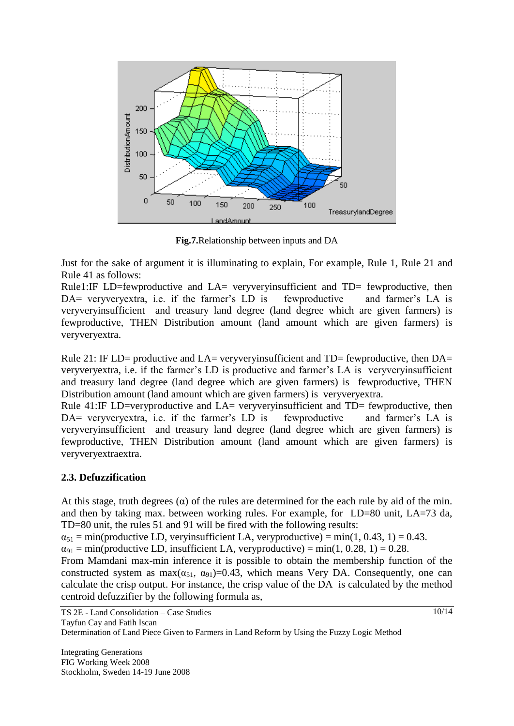

**Fig.7.**Relationship between inputs and DA

Just for the sake of argument it is illuminating to explain, For example, Rule 1, Rule 21 and Rule 41 as follows:

Rule1:IF LD=fewproductive and LA= veryveryinsufficient and TD= fewproductive, then DA= veryveryextra, i.e. if the farmer's LD is fewproductive and farmer's LA is veryveryinsufficient and treasury land degree (land degree which are given farmers) is fewproductive, THEN Distribution amount (land amount which are given farmers) is veryveryextra.

Rule 21: IF LD= productive and LA= veryveryinsufficient and TD= fewproductive, then DA= veryveryextra, i.e. if the farmer"s LD is productive and farmer"s LA is veryveryinsufficient and treasury land degree (land degree which are given farmers) is fewproductive, THEN Distribution amount (land amount which are given farmers) is veryveryextra.

Rule 41:IF LD=veryproductive and LA= veryveryinsufficient and TD= fewproductive, then DA= veryveryextra, i.e. if the farmer's LD is fewproductive and farmer's LA is veryveryinsufficient and treasury land degree (land degree which are given farmers) is fewproductive, THEN Distribution amount (land amount which are given farmers) is veryveryextraextra.

## **2.3. Defuzzification**

At this stage, truth degrees  $(\alpha)$  of the rules are determined for the each rule by aid of the min. and then by taking max. between working rules. For example, for LD=80 unit, LA=73 da, TD=80 unit, the rules 51 and 91 will be fired with the following results:

 $\alpha_{51}$  = min(productive LD, veryinsufficient LA, veryproductive) = min(1, 0.43, 1) = 0.43.

 $\alpha_{91} = \text{min}(\text{productive LD}, \text{insufficient LA}, \text{veryproductive}) = \text{min}(1, 0.28, 1) = 0.28.$ 

From Mamdani max-min inference it is possible to obtain the membership function of the constructed system as  $max(\alpha_{51}, \alpha_{91})=0.43$ , which means Very DA. Consequently, one can calculate the crisp output. For instance, the crisp value of the DA is calculated by the method centroid defuzzifier by the following formula as,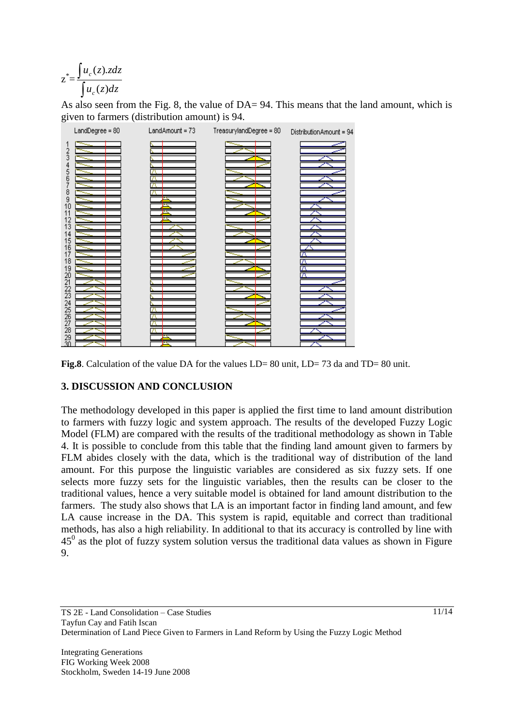$$
z^* = \frac{\int u_c(z).zdz}{\int u_c(z)dz}
$$

As also seen from the Fig. 8, the value of DA= 94. This means that the land amount, which is given to farmers (distribution amount) is 94.



**Fig.8**. Calculation of the value DA for the values LD= 80 unit, LD= 73 da and TD= 80 unit.

## **3. DISCUSSION AND CONCLUSION**

The methodology developed in this paper is applied the first time to land amount distribution to farmers with fuzzy logic and system approach. The results of the developed Fuzzy Logic Model (FLM) are compared with the results of the traditional methodology as shown in Table 4. It is possible to conclude from this table that the finding land amount given to farmers by FLM abides closely with the data, which is the traditional way of distribution of the land amount. For this purpose the linguistic variables are considered as six fuzzy sets. If one selects more fuzzy sets for the linguistic variables, then the results can be closer to the traditional values, hence a very suitable model is obtained for land amount distribution to the farmers. The study also shows that LA is an important factor in finding land amount, and few LA cause increase in the DA. This system is rapid, equitable and correct than traditional methods, has also a high reliability. In additional to that its accuracy is controlled by line with  $45<sup>0</sup>$  as the plot of fuzzy system solution versus the traditional data values as shown in Figure 9.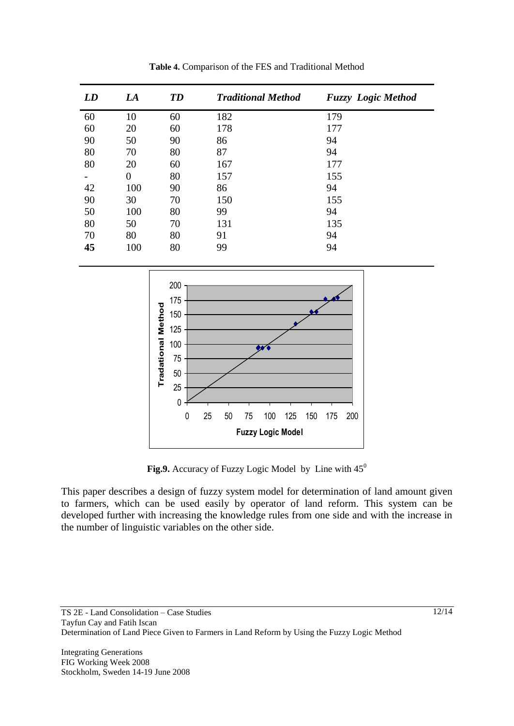| LD | LA             | <b>TD</b> | <b>Traditional Method</b> | <b>Fuzzy</b> Logic Method |
|----|----------------|-----------|---------------------------|---------------------------|
| 60 | 10             | 60        | 182                       | 179                       |
| 60 | 20             | 60        | 178                       | 177                       |
| 90 | 50             | 90        | 86                        | 94                        |
| 80 | 70             | 80        | 87                        | 94                        |
| 80 | 20             | 60        | 167                       | 177                       |
|    | $\overline{0}$ | 80        | 157                       | 155                       |
| 42 | 100            | 90        | 86                        | 94                        |
| 90 | 30             | 70        | 150                       | 155                       |
| 50 | 100            | 80        | 99                        | 94                        |
| 80 | 50             | 70        | 131                       | 135                       |
| 70 | 80             | 80        | 91                        | 94                        |
| 45 | 100            | 80        | 99                        | 94                        |





Fig.9. Accuracy of Fuzzy Logic Model by Line with  $45^{\circ}$ 

This paper describes a design of fuzzy system model for determination of land amount given to farmers, which can be used easily by operator of land reform. This system can be developed further with increasing the knowledge rules from one side and with the increase in the number of linguistic variables on the other side.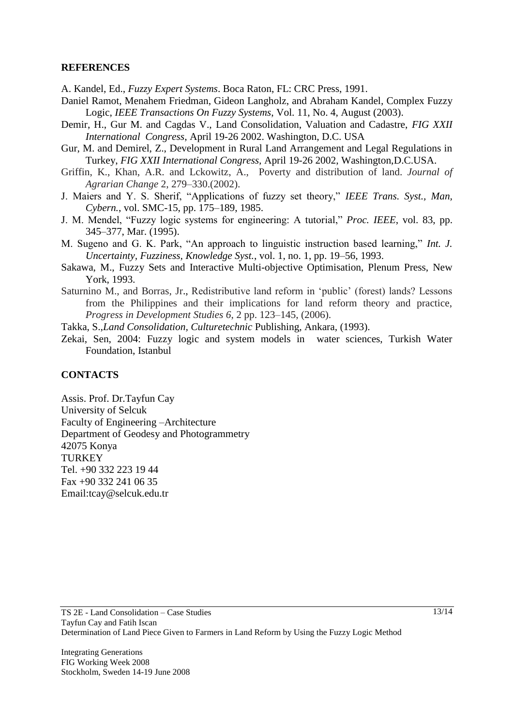### **REFERENCES**

A. Kandel, Ed., *Fuzzy Expert Systems*. Boca Raton, FL: CRC Press, 1991.

- Daniel Ramot, Menahem Friedman, Gideon Langholz, and Abraham Kandel*,* Complex Fuzzy Logic, *IEEE Transactions On Fuzzy Systems*, Vol. 11, No. 4, August (2003).
- Demir, H., Gur M. and Cagdas V., Land Consolidation, Valuation and Cadastre, *FIG XXII International Congress*, April 19-26 2002. Washington, D.C. USA
- Gur, M. and Demirel, Z., Development in Rural Land Arrangement and Legal Regulations in Turkey, *FIG XXII International Congress,* April 19-26 2002, Washington,D.C.USA.
- Griffin, K., Khan, A.R. and Lckowitz, A., Poverty and distribution of land. *Journal of Agrarian Change* 2, 279–330.(2002).
- J. Maiers and Y. S. Sherif, "Applications of fuzzy set theory," *IEEE Trans. Syst., Man, Cybern.*, vol. SMC-15, pp. 175–189, 1985.
- J. M. Mendel, "Fuzzy logic systems for engineering: A tutorial," *Proc. IEEE*, vol. 83, pp. 345–377, Mar. (1995).
- M. Sugeno and G. K. Park, "An approach to linguistic instruction based learning," *Int. J. Uncertainty, Fuzziness, Knowledge Syst.*, vol. 1, no. 1, pp. 19–56, 1993.
- Sakawa, M., Fuzzy Sets and Interactive Multi-objective Optimisation, Plenum Press, New York, 1993.
- Saturnino M., and Borras, Jr., Redistributive land reform in "public" (forest) lands? Lessons from the Philippines and their implications for land reform theory and practice, *Progress in Development Studies 6*, 2 pp. 123–145, (2006).

Takka, S.,*Land Consolidation, Culturetechnic* Publishing, Ankara, (1993).

Zekai, Sen, 2004: Fuzzy logic and system models in water sciences, Turkish Water Foundation, Istanbul

### **CONTACTS**

Assis. Prof. Dr.Tayfun Cay University of Selcuk Faculty of Engineering –Architecture Department of Geodesy and Photogrammetry 42075 Konya **TURKEY** Tel. +90 332 223 19 44 Fax +90 332 241 06 35 Email:tcay@selcuk.edu.tr

Integrating Generations FIG Working Week 2008 Stockholm, Sweden 14-19 June 2008